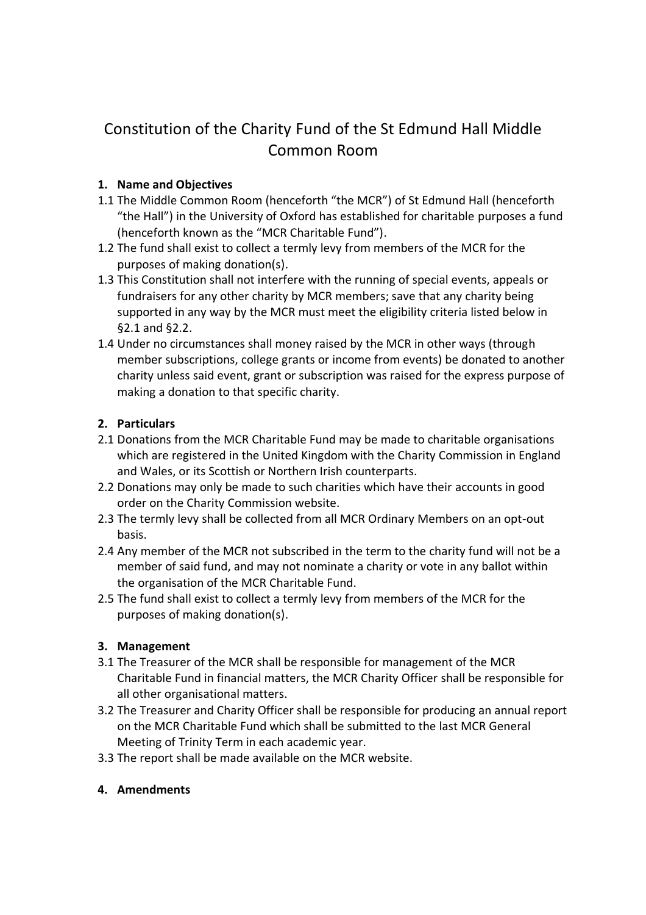# Constitution of the Charity Fund of the St Edmund Hall Middle Common Room

## **1. Name and Objectives**

- 1.1 The Middle Common Room (henceforth "the MCR") of St Edmund Hall (henceforth "the Hall") in the University of Oxford has established for charitable purposes a fund (henceforth known as the "MCR Charitable Fund").
- 1.2 The fund shall exist to collect a termly levy from members of the MCR for the purposes of making donation(s).
- 1.3 This Constitution shall not interfere with the running of special events, appeals or fundraisers for any other charity by MCR members; save that any charity being supported in any way by the MCR must meet the eligibility criteria listed below in §2.1 and §2.2.
- 1.4 Under no circumstances shall money raised by the MCR in other ways (through member subscriptions, college grants or income from events) be donated to another charity unless said event, grant or subscription was raised for the express purpose of making a donation to that specific charity.

# **2. Particulars**

- 2.1 Donations from the MCR Charitable Fund may be made to charitable organisations which are registered in the United Kingdom with the Charity Commission in England and Wales, or its Scottish or Northern Irish counterparts.
- 2.2 Donations may only be made to such charities which have their accounts in good order on the Charity Commission website.
- 2.3 The termly levy shall be collected from all MCR Ordinary Members on an opt-out basis.
- 2.4 Any member of the MCR not subscribed in the term to the charity fund will not be a member of said fund, and may not nominate a charity or vote in any ballot within the organisation of the MCR Charitable Fund.
- 2.5 The fund shall exist to collect a termly levy from members of the MCR for the purposes of making donation(s).

# **3. Management**

- 3.1 The Treasurer of the MCR shall be responsible for management of the MCR Charitable Fund in financial matters, the MCR Charity Officer shall be responsible for all other organisational matters.
- 3.2 The Treasurer and Charity Officer shall be responsible for producing an annual report on the MCR Charitable Fund which shall be submitted to the last MCR General Meeting of Trinity Term in each academic year.
- 3.3 The report shall be made available on the MCR website.

#### **4. Amendments**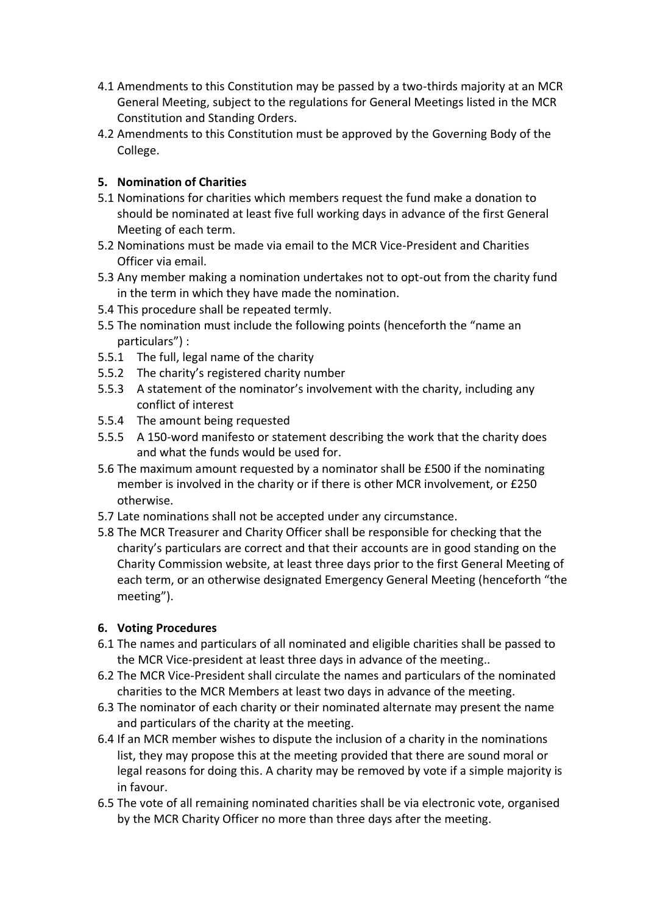- 4.1 Amendments to this Constitution may be passed by a two-thirds majority at an MCR General Meeting, subject to the regulations for General Meetings listed in the MCR Constitution and Standing Orders.
- 4.2 Amendments to this Constitution must be approved by the Governing Body of the College.

## **5. Nomination of Charities**

- 5.1 Nominations for charities which members request the fund make a donation to should be nominated at least five full working days in advance of the first General Meeting of each term.
- 5.2 Nominations must be made via email to the MCR Vice-President and Charities Officer via email.
- 5.3 Any member making a nomination undertakes not to opt-out from the charity fund in the term in which they have made the nomination.
- 5.4 This procedure shall be repeated termly.
- 5.5 The nomination must include the following points (henceforth the "name an particulars") :
- 5.5.1 The full, legal name of the charity
- 5.5.2 The charity's registered charity number
- 5.5.3 A statement of the nominator's involvement with the charity, including any conflict of interest
- 5.5.4 The amount being requested
- 5.5.5 A 150-word manifesto or statement describing the work that the charity does and what the funds would be used for.
- 5.6 The maximum amount requested by a nominator shall be £500 if the nominating member is involved in the charity or if there is other MCR involvement, or £250 otherwise.
- 5.7 Late nominations shall not be accepted under any circumstance.
- 5.8 The MCR Treasurer and Charity Officer shall be responsible for checking that the charity's particulars are correct and that their accounts are in good standing on the Charity Commission website, at least three days prior to the first General Meeting of each term, or an otherwise designated Emergency General Meeting (henceforth "the meeting").

#### **6. Voting Procedures**

- 6.1 The names and particulars of all nominated and eligible charities shall be passed to the MCR Vice-president at least three days in advance of the meeting..
- 6.2 The MCR Vice-President shall circulate the names and particulars of the nominated charities to the MCR Members at least two days in advance of the meeting.
- 6.3 The nominator of each charity or their nominated alternate may present the name and particulars of the charity at the meeting.
- 6.4 If an MCR member wishes to dispute the inclusion of a charity in the nominations list, they may propose this at the meeting provided that there are sound moral or legal reasons for doing this. A charity may be removed by vote if a simple majority is in favour.
- 6.5 The vote of all remaining nominated charities shall be via electronic vote, organised by the MCR Charity Officer no more than three days after the meeting.